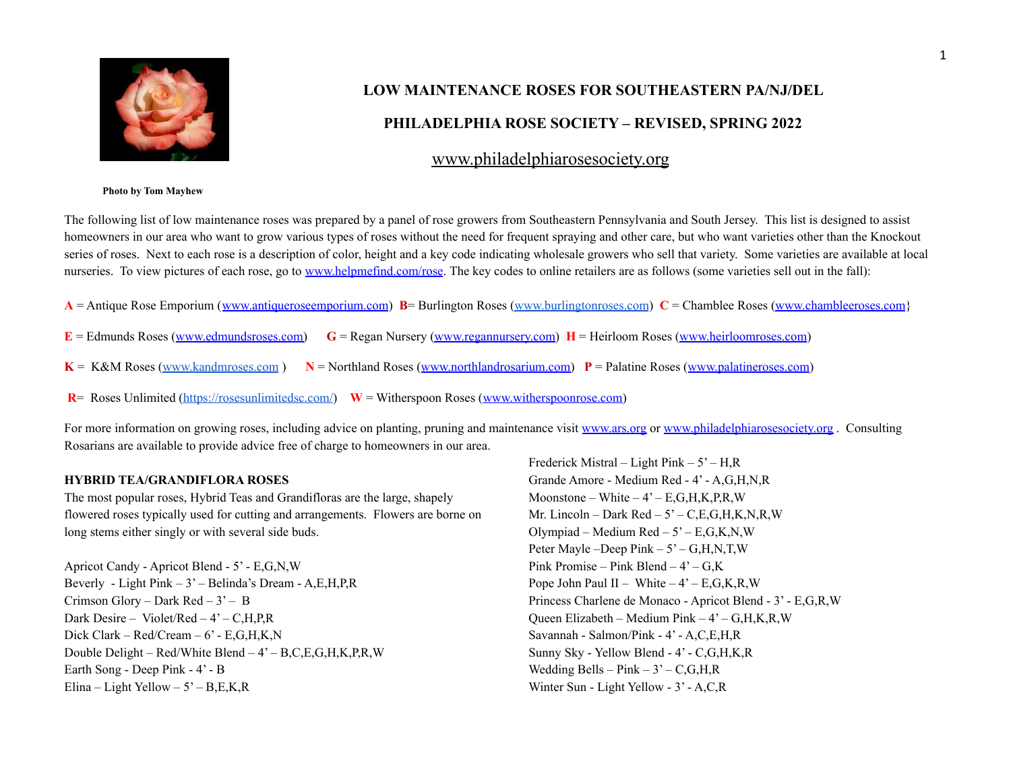

# **LOW MAINTENANCE ROSES FOR SOUTHEASTERN PA/NJ/DEL**

## **PHILADELPHIA ROSE SOCIETY – REVISED, SPRING 2022**

## [www.philadelphiarosesociety.org](http://www.philadelphiarosesociety.org)

#### **Photo by Tom Mayhew**

The following list of low maintenance roses was prepared by a panel of rose growers from Southeastern Pennsylvania and South Jersey. This list is designed to assist homeowners in our area who want to grow various types of roses without the need for frequent spraying and other care, but who want varieties other than the Knockout series of roses. Next to each rose is a description of color, height and a key code indicating wholesale growers who sell that variety. Some varieties are available at local nurseries. To view pictures of each rose, go to [www.helpmefind.com/rose](http://www.helpmefind.com/rose). The key codes to online retailers are as follows (some varieties sell out in the fall):

| $C =$ Chamblee Roses (www.chambleeusco.com.<br>$\angle$ <b>R</b> = Burlington Roses (w <sub>y</sub><br>$A =$ Antique Rose Emporium |  |
|------------------------------------------------------------------------------------------------------------------------------------|--|
|------------------------------------------------------------------------------------------------------------------------------------|--|

- **E** = Edmunds Roses ([www.edmundsroses.com\)](http://www.edmundsroses.com) **G** = Regan Nursery [\(www.regannursery.com](http://www.regannursery.com)) **H** = Heirloom Roses [\(www.heirloomroses.com](http://www.heirloomroses.com))
- $K = K\&M$  Roses [\(www.kandmroses.com](http://www.kandmroses.com))  $N =$  Northland Roses ([www.northlandrosarium.com\)](http://www.northlandrosarium.com)  $P =$  Palatine Roses ([www.palatineroses.com](http://www.palatineroses.com))
- **R**= Roses Unlimited [\(https://rosesunlimitedsc.com/\)](https://rosesunlimitedsc.com/) **W** = Witherspoon Roses [\(www.witherspoonrose.com\)](http://www.witherspoonrose.com)

For more information on growing roses, including advice on planting, pruning and maintenance visit [www.ars.org](http://www.ars.org) or [www.philadelphiarosesociety.org](http://www.philadelphiarosesociety.org). Consulting Rosarians are available to provide advice free of charge to homeowners in our area.

#### **HYBRID TEA/GRANDIFLORA ROSES**

The most popular roses, Hybrid Teas and Grandifloras are the large, shapely flowered roses typically used for cutting and arrangements. Flowers are borne on long stems either singly or with several side buds.

Apricot Candy - Apricot Blend - 5' - E,G,N,W Beverly - Light Pink – 3' – Belinda's Dream - A,E,H,P,R Crimson Glory – Dark Red –  $3'$  – B Dark Desire – Violet/Red – 4' – C,H,P,R Dick Clark – Red/Cream – 6' - E,G,H,K,N Double Delight – Red/White Blend – 4' – B,C,E,G,H,K,P,R,W Earth Song - Deep Pink - 4' - B Elina – Light Yellow –  $5'$  – B, E, K, R

Frederick Mistral – Light Pink –  $5'$  – H,R Grande Amore - Medium Red - 4' - A,G,H,N,R Moonstone – White –  $4 - E, G, H, K, P, R, W$ Mr. Lincoln – Dark Red –  $5'$  – C,E,G,H,K,N,R,W Olympiad – Medium  $Red - 5' - E, G, K, N, W$ Peter Mayle –Deep Pink – 5' – G, H, N, T, W Pink Promise – Pink Blend –  $4 - G$ , K Pope John Paul II – White –  $4 - E, G, K, R, W$ Princess Charlene de Monaco - Apricot Blend - 3' - E,G,R,W Queen Elizabeth – Medium Pink – 4' – G,H,K,R,W Savannah - Salmon/Pink - 4' - A,C,E,H,R Sunny Sky - Yellow Blend - 4' - C,G,H,K,R Wedding Bells –  $Pink - 3' - C, G, H, R$ Winter Sun - Light Yellow - 3' - A,C,R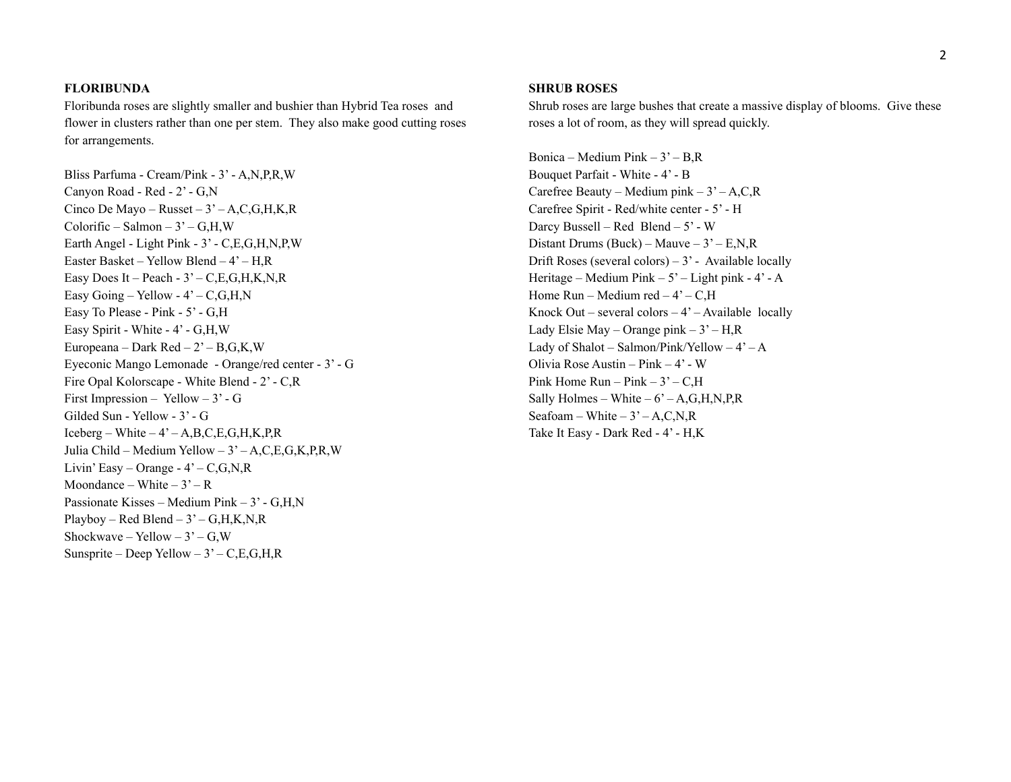#### **FLORIBUNDA**

Floribunda roses are slightly smaller and bushier than Hybrid Tea roses and flower in clusters rather than one per stem. They also make good cutting roses for arrangements.

Bliss Parfuma - Cream/Pink - 3' - A,N,P,R,W Canyon Road - Red - 2' - G,N Cinco De Mayo – Russet –  $3'$  – A, C, G, H, K, R  $Colorific - Salmon - 3' - G,H,W$ Earth Angel - Light Pink - 3' - C,E,G,H,N,P,W Easter Basket – Yellow Blend – 4' – H,R Easy Does It – Peach -  $3'$  – C, E, G, H, K, N, R Easy Going – Yellow -  $4'$  – C, G, H, N Easy To Please - Pink - 5' - G,H Easy Spirit - White - 4' - G,H,W Europeana – Dark Red –  $2 - B.G.K.W$ Eyeconic Mango Lemonade - Orange/red center - 3' - G Fire Opal Kolorscape - White Blend - 2' - C,R First Impression – Yellow –  $3'$  - G Gilded Sun - Yellow - 3' - G  $Iceberg - White - 4' - A, B, C, E, G, H, K, P, R$ Julia Child – Medium Yellow – 3' – A,C,E,G,K,P,R,W Livin' Easy – Orange -  $4'$  – C, G, N, R Moondance – White –  $3'$  – R Passionate Kisses – Medium Pink – 3' - G,H,N Playboy – Red Blend –  $3'$  – G, H, K, N, R Shockwave – Yellow –  $3'$  – G, W Sunsprite – Deep Yellow –  $3'-C,E,G,H,R$ 

#### **SHRUB ROSES**

Shrub roses are large bushes that create a massive display of blooms. Give these roses a lot of room, as they will spread quickly.

Bonica – Medium Pink –  $3'$  – B, R Bouquet Parfait - White - 4' - B Carefree Beauty – Medium pink –  $3'$  – A,C,R Carefree Spirit - Red/white center - 5' - H Darcy Bussell – Red Blend – 5' - W Distant Drums (Buck) – Mauve –  $3'$  – E,N,R Drift Roses (several colors) –  $3'$  - Available locally Heritage – Medium Pink –  $5'$  – Light pink -  $4'$  - A Home  $Run - Medium red - 4' - C$ , H Knock Out – several colors –  $4'$  – Available locally Lady Elsie May – Orange pink –  $3'$  – H,R Lady of Shalot – Salmon/Pink/Yellow –  $4^{\degree}$  – A Olivia Rose Austin – Pink – 4' - W Pink Home  $Run - Pink - 3' - C.H$ Sally Holmes – White –  $6'$  – A, G, H, N, P, R Seafoam – White –  $3'$  – A,C,N,R Take It Easy - Dark Red - 4' - H,K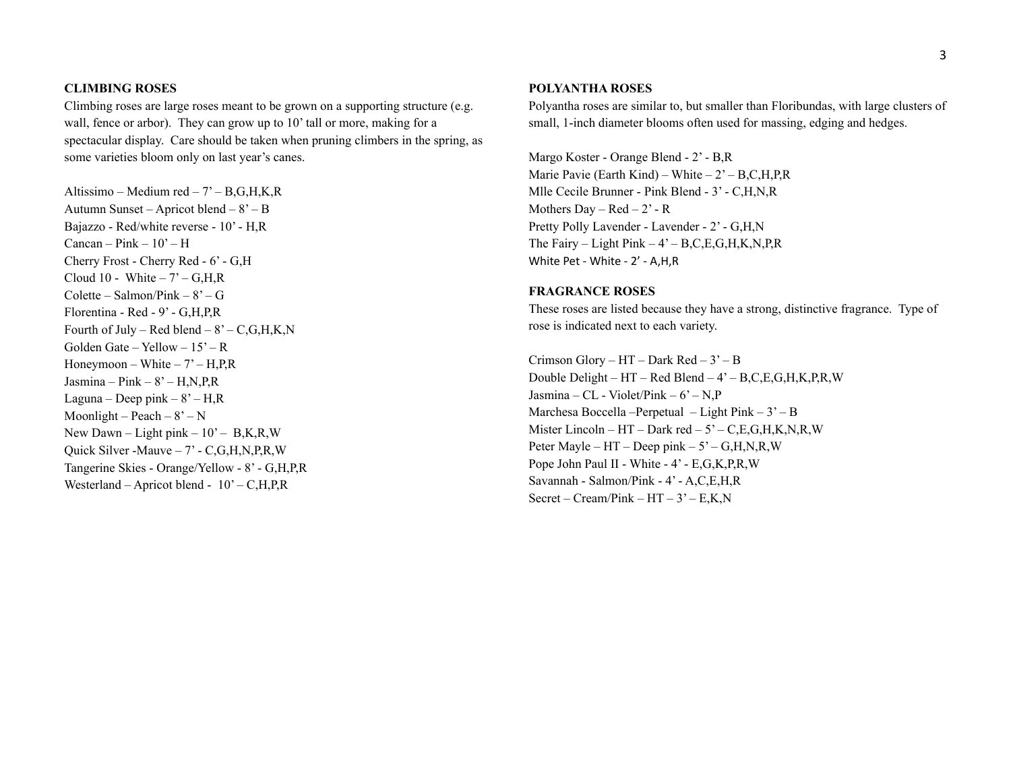#### **CLIMBING ROSES**

Climbing roses are large roses meant to be grown on a supporting structure (e.g. wall, fence or arbor). They can grow up to 10' tall or more, making for a spectacular display. Care should be taken when pruning climbers in the spring, as some varieties bloom only on last year's canes.

Altissimo – Medium red – 7' – B,G,H,K,R Autumn Sunset – Apricot blend – 8' – B Bajazzo - Red/white reverse - 10' - H,R Cancan –  $Pink - 10' - H$ Cherry Frost - Cherry Red - 6' - G,H Cloud 10 - White  $-7 - G,H,R$ Colette – Salmon/Pink –  $8^\circ$  – G Florentina - Red - 9' - G,H,P,R Fourth of July – Red blend –  $8 - C, G, H, K, N$ Golden Gate – Yellow –  $15'$  – R Honeymoon – White –  $7'$  – H, P, R Jasmina – Pink –  $8 - H, N, P, R$ Laguna – Deep pink –  $8'$  – H, R Moonlight – Peach –  $8'$  – N New Dawn – Light pink –  $10'$  – B, K, R, W Quick Silver -Mauve – 7' - C,G,H,N,P,R,W Tangerine Skies - Orange/Yellow - 8' - G,H,P,R Westerland – Apricot blend - 10' – C,H,P,R

#### **POLYANTHA ROSES**

Polyantha roses are similar to, but smaller than Floribundas, with large clusters of small, 1-inch diameter blooms often used for massing, edging and hedges.

Margo Koster - Orange Blend - 2' - B,R Marie Pavie (Earth Kind) – White –  $2 - B, C, H, P, R$ Mlle Cecile Brunner - Pink Blend - 3' - C,H,N,R Mothers Day –  $Red - 2' - R$ Pretty Polly Lavender - Lavender - 2' - G,H,N The Fairy – Light Pink –  $4'$  – B, C, E, G, H, K, N, P, R White Pet - White - 2' - A,H,R

#### **FRAGRANCE ROSES**

These roses are listed because they have a strong, distinctive fragrance. Type of rose is indicated next to each variety.

Crimson Glory –  $HT$  – Dark Red –  $3'$  – B Double Delight – HT – Red Blend – 4' – B,C,E,G,H,K,P,R,W Jasmina – CL - Violet/Pink –  $6'$  – N,P Marchesa Boccella –Perpetual – Light Pink –  $3'$  – B Mister Lincoln – HT – Dark red –  $5^\circ$  – C,E,G,H,K,N,R,W Peter Mayle – HT – Deep pink – 5' – G,H,N,R,W Pope John Paul II - White - 4' - E,G,K,P,R,W Savannah - Salmon/Pink - 4' - A,C,E,H,R Secret – Cream/Pink –  $HT - 3'$  –  $E, K, N$